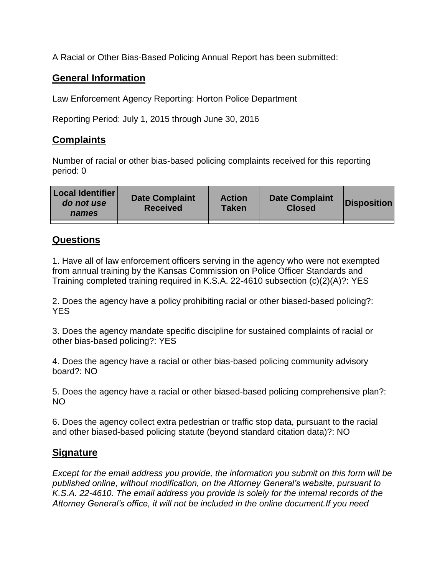A Racial or Other Bias-Based Policing Annual Report has been submitted:

## **General Information**

Law Enforcement Agency Reporting: Horton Police Department

Reporting Period: July 1, 2015 through June 30, 2016

## **Complaints**

Number of racial or other bias-based policing complaints received for this reporting period: 0

| <b>Local Identifier</b><br>do not use<br>names | <b>Date Complaint</b><br><b>Received</b> | <b>Action</b><br><b>Taken</b> | <b>Date Complaint</b><br><b>Closed</b> | Disposition |
|------------------------------------------------|------------------------------------------|-------------------------------|----------------------------------------|-------------|
|                                                |                                          |                               |                                        |             |

## **Questions**

1. Have all of law enforcement officers serving in the agency who were not exempted from annual training by the Kansas Commission on Police Officer Standards and Training completed training required in K.S.A. 22-4610 subsection (c)(2)(A)?: YES

2. Does the agency have a policy prohibiting racial or other biased-based policing?: YES

3. Does the agency mandate specific discipline for sustained complaints of racial or other bias-based policing?: YES

4. Does the agency have a racial or other bias-based policing community advisory board?: NO

5. Does the agency have a racial or other biased-based policing comprehensive plan?: NO

6. Does the agency collect extra pedestrian or traffic stop data, pursuant to the racial and other biased-based policing statute (beyond standard citation data)?: NO

## **Signature**

*Except for the email address you provide, the information you submit on this form will be published online, without modification, on the Attorney General's website, pursuant to K.S.A. 22-4610. The email address you provide is solely for the internal records of the Attorney General's office, it will not be included in the online document.If you need*